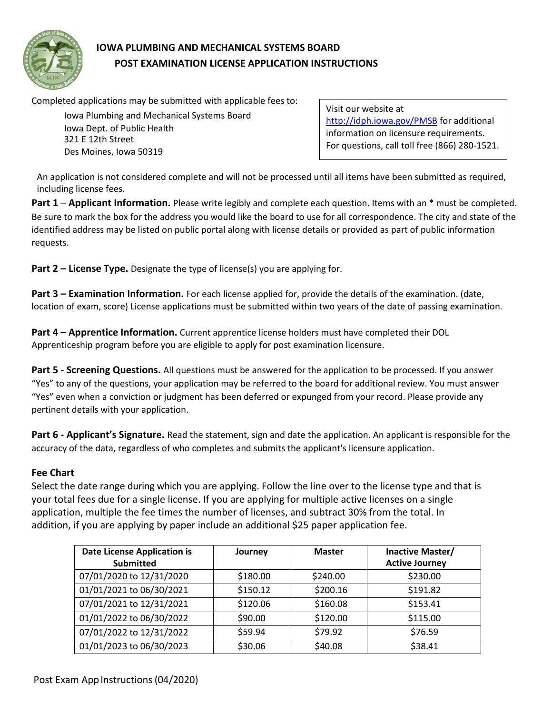

# **IOWA PLUMBING AND MECHANICAL SYSTEMS BOARD POST EXAMINATION LICENSE APPLICATION INSTRUCTIONS**

Completed applications may be submitted with applicable fees to:

Iowa Plumbing and Mechanical Systems Board Iowa Dept. of Public Health 321 E 12th Street Des Moines, Iowa 50319

Visit our website at <http://idph.iowa.gov/PMSB> for additional information on licensure requirements. For questions, call toll free (866) 280-1521.

An application is not considered complete and will not be processed until all items have been submitted as required, including license fees.

**Part 1** – **Applicant Information.** Please write legibly and complete each question. Items with an \* must be completed. Be sure to mark the box for the address you would like the board to use for all correspondence. The city and state of the identified address may be listed on public portal along with license details or provided as part of public information requests.

**Part 2 – License Type.** Designate the type of license(s) you are applying for.

**Part 3 – Examination Information.** For each license applied for, provide the details of the examination. (date, location of exam, score) License applications must be submitted within two years of the date of passing examination.

**Part 4 – Apprentice Information.** Current apprentice license holders must have completed their DOL Apprenticeship program before you are eligible to apply for post examination licensure.

**Part 5 - Screening Questions.** All questions must be answered for the application to be processed. If you answer "Yes" to any of the questions, your application may be referred to the board for additional review. You must answer "Yes" even when a conviction or judgment has been deferred or expunged from your record. Please provide any pertinent details with your application.

**Part 6 - Applicant's Signature.** Read the statement, sign and date the application. An applicant is responsible for the accuracy of the data, regardless of who completes and submits the applicant's licensure application.

## **Fee Chart**

Select the date range during which you are applying. Follow the line over to the license type and that is your total fees due for a single license. If you are applying for multiple active licenses on a single application, multiple the fee times the number of licenses, and subtract 30% from the total. In addition, if you are applying by paper include an additional \$25 paper application fee.

| <b>Date License Application is</b><br><b>Submitted</b> | Journey  | <b>Master</b> | Inactive Master/<br><b>Active Journey</b> |
|--------------------------------------------------------|----------|---------------|-------------------------------------------|
| 07/01/2020 to 12/31/2020                               | \$180.00 | \$240.00      | \$230.00                                  |
| 01/01/2021 to 06/30/2021                               | \$150.12 | \$200.16      | \$191.82                                  |
| 07/01/2021 to 12/31/2021                               | \$120.06 | \$160.08      | \$153.41                                  |
| 01/01/2022 to 06/30/2022                               | \$90.00  | \$120.00      | \$115.00                                  |
| 07/01/2022 to 12/31/2022                               | \$59.94  | \$79.92       | \$76.59                                   |
| 01/01/2023 to 06/30/2023                               | \$30.06  | \$40.08       | \$38.41                                   |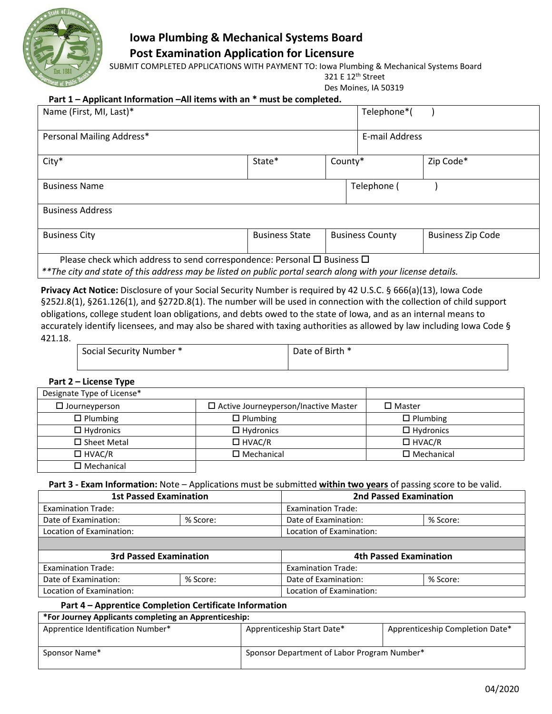

## **Iowa Plumbing & Mechanical Systems Board Post Examination Application for Licensure**

SUBMIT COMPLETED APPLICATIONS WITH PAYMENT TO: Iowa Plumbing & Mechanical Systems Board

321 E 12th Street

Des Moines, IA 50319

## **Part 1 – Applicant Information –All items with an \* must be completed.**

| Name (First, MI, Last)*                                                                                                                                                                                     |                       |         | Telephone*(            |                          |
|-------------------------------------------------------------------------------------------------------------------------------------------------------------------------------------------------------------|-----------------------|---------|------------------------|--------------------------|
| Personal Mailing Address*                                                                                                                                                                                   |                       |         | E-mail Address         |                          |
| City*                                                                                                                                                                                                       | State*                | County* |                        | Zip Code*                |
| <b>Business Name</b>                                                                                                                                                                                        |                       |         | Telephone (            |                          |
| <b>Business Address</b>                                                                                                                                                                                     |                       |         |                        |                          |
| <b>Business City</b>                                                                                                                                                                                        | <b>Business State</b> |         | <b>Business County</b> | <b>Business Zip Code</b> |
| Please check which address to send correspondence: Personal $\Box$ Business $\Box$<br>**The situ sund state of this nable as percepted a listed are public partyle assume algebra with your lisenes details |                       |         |                        |                          |

*\*\*The city and state of this address may be listed on public portal search along with your license details.*

**Privacy Act Notice:** Disclosure of your Social Security Number is required by 42 U.S.C. § 666(a)(13), Iowa Code §252J.8(1), §261.126(1), and §272D.8(1). The number will be used in connection with the collection of child support obligations, college student loan obligations, and debts owed to the state of Iowa, and as an internal means to accurately identify licensees, and may also be shared with taxing authorities as allowed by law including Iowa Code § 421.18.

| Social Security Number * | Date of Birth * |
|--------------------------|-----------------|
|                          |                 |

### **Part 2 – License Type**

| Designate Type of License* |                                             |                      |
|----------------------------|---------------------------------------------|----------------------|
| $\Box$ Journeyperson       | $\Box$ Active Journeyperson/Inactive Master | $\square$ Master     |
| $\Box$ Plumbing            | $\Box$ Plumbing                             | $\Box$ Plumbing      |
| $\Box$ Hydronics           | $\Box$ Hydronics                            | $\Box$ Hydronics     |
| $\square$ Sheet Metal      | $\Box$ HVAC/R                               | $\Box$ HVAC/R        |
| $\Box$ HVAC/R              | $\square$ Mechanical                        | $\square$ Mechanical |
| $\square$ Mechanical       |                                             |                      |

### **Part 3 - Exam Information:** Note – Applications must be submitted **within two years** of passing score to be valid.

|                           | <b>1st Passed Examination</b> |                           | <b>2nd Passed Examination</b> |
|---------------------------|-------------------------------|---------------------------|-------------------------------|
| <b>Examination Trade:</b> |                               | <b>Examination Trade:</b> |                               |
| Date of Examination:      | % Score:                      | Date of Examination:      | % Score:                      |
| Location of Examination:  |                               | Location of Examination:  |                               |
|                           |                               |                           |                               |
|                           | <b>3rd Passed Examination</b> |                           | <b>4th Passed Examination</b> |
| <b>Examination Trade:</b> |                               | <b>Examination Trade:</b> |                               |
| Date of Examination:      | % Score:                      | Date of Examination:      | % Score:                      |

Location of Examination: Location of Examination:

## **Part 4 – Apprentice Completion Certificate Information**

## **\*For Journey Applicants completing an Apprenticeship:**

| Apprentice Identification Number* | Apprenticeship Start Date*                  | Apprenticeship Completion Date* |
|-----------------------------------|---------------------------------------------|---------------------------------|
| Sponsor Name*                     | Sponsor Department of Labor Program Number* |                                 |